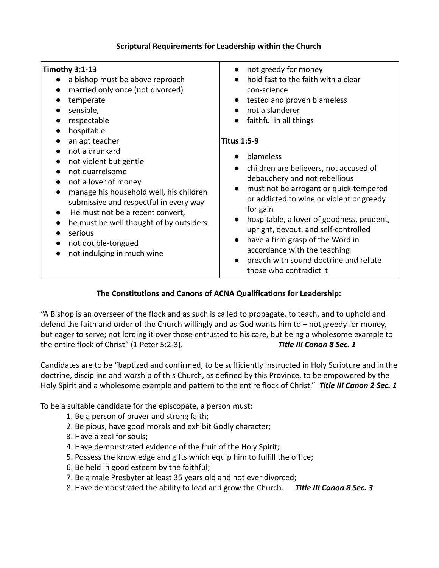#### **Scriptural Requirements for Leadership within the Church**

| <b>Timothy 3:1-13</b>                                                                                                                                                                                                                                                                                                  | not greedy for money                                                                                                                                                                                                                                                                                                                                                                                                |
|------------------------------------------------------------------------------------------------------------------------------------------------------------------------------------------------------------------------------------------------------------------------------------------------------------------------|---------------------------------------------------------------------------------------------------------------------------------------------------------------------------------------------------------------------------------------------------------------------------------------------------------------------------------------------------------------------------------------------------------------------|
| a bishop must be above reproach                                                                                                                                                                                                                                                                                        | hold fast to the faith with a clear                                                                                                                                                                                                                                                                                                                                                                                 |
| married only once (not divorced)                                                                                                                                                                                                                                                                                       | con-science                                                                                                                                                                                                                                                                                                                                                                                                         |
| temperate                                                                                                                                                                                                                                                                                                              | tested and proven blameless                                                                                                                                                                                                                                                                                                                                                                                         |
| sensible,                                                                                                                                                                                                                                                                                                              | not a slanderer                                                                                                                                                                                                                                                                                                                                                                                                     |
| respectable                                                                                                                                                                                                                                                                                                            | faithful in all things                                                                                                                                                                                                                                                                                                                                                                                              |
| hospitable                                                                                                                                                                                                                                                                                                             | $\bullet$                                                                                                                                                                                                                                                                                                                                                                                                           |
| an apt teacher                                                                                                                                                                                                                                                                                                         | <b>Titus 1:5-9</b>                                                                                                                                                                                                                                                                                                                                                                                                  |
| not a drunkard<br>not violent but gentle<br>not quarrelsome<br>not a lover of money<br>manage his household well, his children<br>submissive and respectful in every way<br>He must not be a recent convert,<br>he must be well thought of by outsiders<br>serious<br>not double-tongued<br>not indulging in much wine | blameless<br>children are believers, not accused of<br>debauchery and not rebellious<br>must not be arrogant or quick-tempered<br>or addicted to wine or violent or greedy<br>for gain<br>hospitable, a lover of goodness, prudent,<br>upright, devout, and self-controlled<br>have a firm grasp of the Word in<br>accordance with the teaching<br>preach with sound doctrine and refute<br>those who contradict it |

### **The Constitutions and Canons of ACNA Qualifications for Leadership:**

"A Bishop is an overseer of the flock and as such is called to propagate, to teach, and to uphold and defend the faith and order of the Church willingly and as God wants him to – not greedy for money, but eager to serve; not lording it over those entrusted to his care, but being a wholesome example to the entire flock of Christ" (1 Peter 5:2-3). *Title III Canon 8 Sec. 1* 

Candidates are to be "baptized and confirmed, to be sufficiently instructed in Holy Scripture and in the doctrine, discipline and worship of this Church, as defined by this Province, to be empowered by the Holy Spirit and a wholesome example and pattern to the entire flock of Christ." *Title III Canon 2 Sec. 1* 

To be a suitable candidate for the episcopate, a person must:

- 1. Be a person of prayer and strong faith;
- 2. Be pious, have good morals and exhibit Godly character;
- 3. Have a zeal for souls;
- 4. Have demonstrated evidence of the fruit of the Holy Spirit;
- 5. Possess the knowledge and gifts which equip him to fulfill the office;
- 6. Be held in good esteem by the faithful;
- 7. Be a male Presbyter at least 35 years old and not ever divorced;
- 8. Have demonstrated the ability to lead and grow the Church. *Title III Canon 8 Sec. 3*